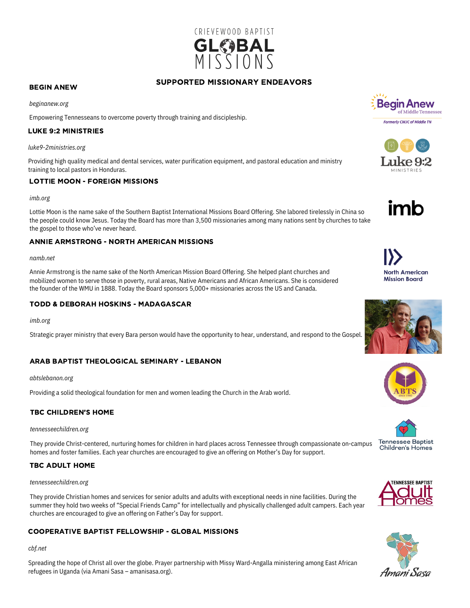

# SUPPORTED MISSIONARY ENDEAVORS

#### BEGIN ANEW

*beginanew.org*

Empowering Tennesseans to overcome poverty through training and discipleship.

## LUKE 9:2 MINISTRIES

*luke9-2ministries.org*

Providing high quality medical and dental services, water purification equipment, and pastoral education and ministry training to local pastors in Honduras.

## LOTTIE MOON - FOREIGN MISSIONS

#### *imb.org*

Lottie Moon is the name sake of the Southern Baptist International Missions Board Offering. She labored tirelessly in China so the people could know Jesus. Today the Board has more than 3,500 missionaries among many nations sent by churches to take the gospel to those who've never heard.

## ANNIE ARMSTRONG - NORTH AMERICAN MISSIONS

#### *namb.net*

Annie Armstrong is the name sake of the North American Mission Board Offering. She helped plant churches and mobilized women to serve those in poverty, rural areas, Native Americans and African Americans. She is considered the founder of the WMU in 1888. Today the Board sponsors 5,000+ missionaries across the US and Canada.

# TODD & DEBORAH HOSKINS - MADAGASCAR

*imb.org*

Strategic prayer ministry that every Bara person would have the opportunity to hear, understand, and respond to the Gospel.

# ARAB BAPTIST THEOLOGICAL SEMINARY - LEBANON

*abtslebanon.org*

Providing a solid theological foundation for men and women leading the Church in the Arab world.

# TBC CHILDREN'S HOME

*tennesseechildren.org*

homes and foster families. Each year churches are encouraged to give an offering on Mother's Day for support. They provide Christ-centered, nurturing homes for children in hard places across Tennessee through compassionate on-campus

# TBC ADULT HOME

#### *tennesseechildren.org*

They provide Christian homes and services for senior adults and adults with exceptional needs in nine facilities. During the summer they hold two weeks of "Special Friends Camp" for intellectually and physically challenged adult campers. Each year churches are encouraged to give an offering on Father's Day for support.

# COOPERATIVE BAPTIST FELLOWSHIP - GLOBAL MISSIONS

#### *cbf.net*

Spreading the hope of Christ all over the globe. Prayer partnership with Missy Ward-Angalla ministering among East African refugees in Uganda (via Amani Sasa – amanisasa.org).







North American **Mission Board**